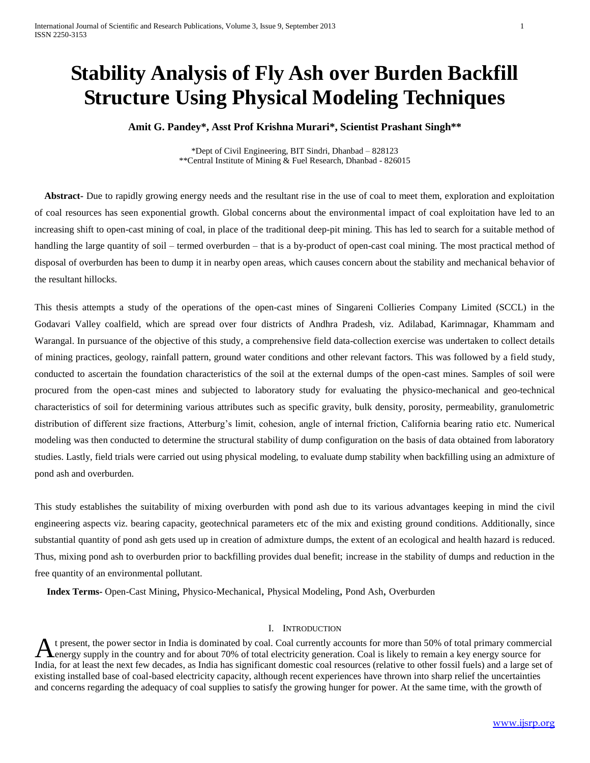# **Stability Analysis of Fly Ash over Burden Backfill Structure Using Physical Modeling Techniques**

**Amit G. Pandey\*, Asst Prof Krishna Murari\*, Scientist Prashant Singh\*\***

\*Dept of Civil Engineering, BIT Sindri, Dhanbad – 828123 \*\*Central Institute of Mining & Fuel Research, Dhanbad - 826015

 **Abstract-** Due to rapidly growing energy needs and the resultant rise in the use of coal to meet them, exploration and exploitation of coal resources has seen exponential growth. Global concerns about the environmental impact of coal exploitation have led to an increasing shift to open-cast mining of coal, in place of the traditional deep-pit mining. This has led to search for a suitable method of handling the large quantity of soil – termed overburden – that is a by-product of open-cast coal mining. The most practical method of disposal of overburden has been to dump it in nearby open areas, which causes concern about the stability and mechanical behavior of the resultant hillocks.

This thesis attempts a study of the operations of the open-cast mines of Singareni Collieries Company Limited (SCCL) in the Godavari Valley coalfield, which are spread over four districts of Andhra Pradesh, viz. Adilabad, Karimnagar, Khammam and Warangal. In pursuance of the objective of this study, a comprehensive field data-collection exercise was undertaken to collect details of mining practices, geology, rainfall pattern, ground water conditions and other relevant factors. This was followed by a field study, conducted to ascertain the foundation characteristics of the soil at the external dumps of the open-cast mines. Samples of soil were procured from the open-cast mines and subjected to laboratory study for evaluating the physico-mechanical and geo-technical characteristics of soil for determining various attributes such as specific gravity, bulk density, porosity, permeability, granulometric distribution of different size fractions, Atterburg's limit, cohesion, angle of internal friction, California bearing ratio etc. Numerical modeling was then conducted to determine the structural stability of dump configuration on the basis of data obtained from laboratory studies. Lastly, field trials were carried out using physical modeling, to evaluate dump stability when backfilling using an admixture of pond ash and overburden.

This study establishes the suitability of mixing overburden with pond ash due to its various advantages keeping in mind the civil engineering aspects viz. bearing capacity, geotechnical parameters etc of the mix and existing ground conditions. Additionally, since substantial quantity of pond ash gets used up in creation of admixture dumps, the extent of an ecological and health hazard is reduced. Thus, mixing pond ash to overburden prior to backfilling provides dual benefit; increase in the stability of dumps and reduction in the free quantity of an environmental pollutant.

 **Index Terms-** Open-Cast Mining, Physico-Mechanical, Physical Modeling, Pond Ash, Overburden

#### I. INTRODUCTION

t present, the power sector in India is dominated by coal. Coal currently accounts for more than 50% of total primary commercial A t present, the power sector in India is dominated by coal. Coal currently accounts for more than 50% of total primary commercially energy supply in the country and for about 70% of total electricity generation. Coal is l India, for at least the next few decades, as India has significant domestic coal resources (relative to other fossil fuels) and a large set of existing installed base of coal-based electricity capacity, although recent experiences have thrown into sharp relief the uncertainties and concerns regarding the adequacy of coal supplies to satisfy the growing hunger for power. At the same time, with the growth of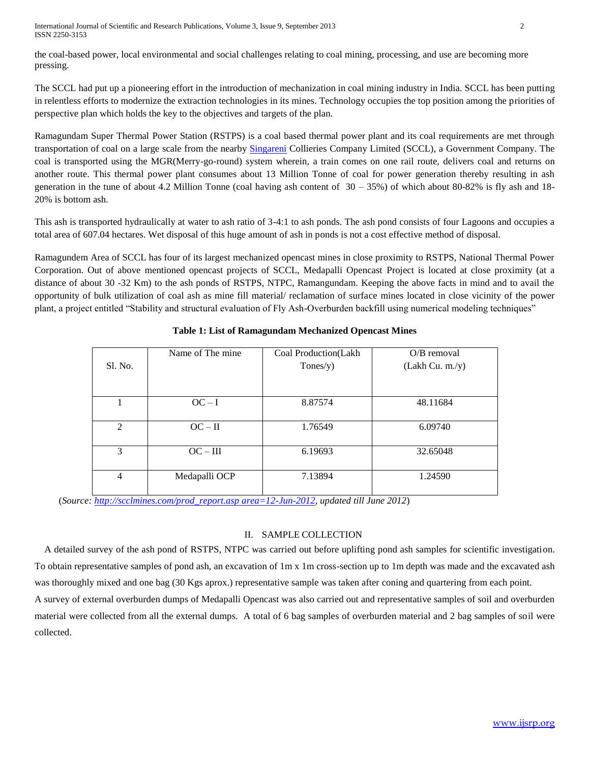International Journal of Scientific and Research Publications, Volume 3, Issue 9, September 2013 2 ISSN 2250-3153

the coal-based power, local environmental and social challenges relating to coal mining, processing, and use are becoming more pressing.

The SCCL had put up a pioneering effort in the introduction of mechanization in coal mining industry in India. SCCL has been putting in relentless efforts to modernize the extraction technologies in its mines. Technology occupies the top position among the priorities of perspective plan which holds the key to the objectives and targets of the plan.

Ramagundam Super Thermal Power Station (RSTPS) is a coal based thermal power plant and its coal requirements are met through transportation of coal on a large scale from the nearby [Singareni](http://en.wikipedia.org/wiki/Singareni) Collieries Company Limited (SCCL), a Government Company. The coal is transported using the MGR(Merry-go-round) system wherein, a train comes on one rail route, delivers coal and returns on another route. This thermal power plant consumes about 13 Million Tonne of coal for power generation thereby resulting in ash generation in the tune of about 4.2 Million Tonne (coal having ash content of  $30 - 35\%$ ) of which about 80-82% is fly ash and 18-20% is bottom ash.

This ash is transported hydraulically at water to ash ratio of 3-4:1 to ash ponds. The ash pond consists of four Lagoons and occupies a total area of 607.04 hectares. Wet disposal of this huge amount of ash in ponds is not a cost effective method of disposal.

Ramagundem Area of SCCL has four of its largest mechanized opencast mines in close proximity to RSTPS, National Thermal Power Corporation. Out of above mentioned opencast projects of SCCL, Medapalli Opencast Project is located at close proximity (at a distance of about 30 -32 Km) to the ash ponds of RSTPS, NTPC, Ramangundam. Keeping the above facts in mind and to avail the opportunity of bulk utilization of coal ash as mine fill material/ reclamation of surface mines located in close vicinity of the power plant, a project entitled "Stability and structural evaluation of Fly Ash-Overburden backfill using numerical modeling techniques"

| S1. No.        | Name of The mine | Coal Production(Lakh<br>Tones/y) | $O/B$ removal<br>(Lakh Cu. m./y) |
|----------------|------------------|----------------------------------|----------------------------------|
|                | $OC-I$           | 8.87574                          | 48.11684                         |
| $\mathfrak{D}$ | $OC - II$        | 1.76549                          | 6.09740                          |
| 3              | $OC - III$       | 6.19693                          | 32.65048                         |
| $\overline{4}$ | Medapalli OCP    | 7.13894                          | 1.24590                          |

## **Table 1: List of Ramagundam Mechanized Opencast Mines**

(*Source: [http://scclmines.com/prod\\_report.asp area=12-Jun-2012,](http://scclmines.com/prod_report.asp?area=12-Jun-2012) updated till June 2012*)

## II. SAMPLE COLLECTION

 A detailed survey of the ash pond of RSTPS, NTPC was carried out before uplifting pond ash samples for scientific investigation. To obtain representative samples of pond ash, an excavation of 1m x 1m cross-section up to 1m depth was made and the excavated ash was thoroughly mixed and one bag (30 Kgs aprox.) representative sample was taken after coning and quartering from each point.

A survey of external overburden dumps of Medapalli Opencast was also carried out and representative samples of soil and overburden material were collected from all the external dumps. A total of 6 bag samples of overburden material and 2 bag samples of soil were collected.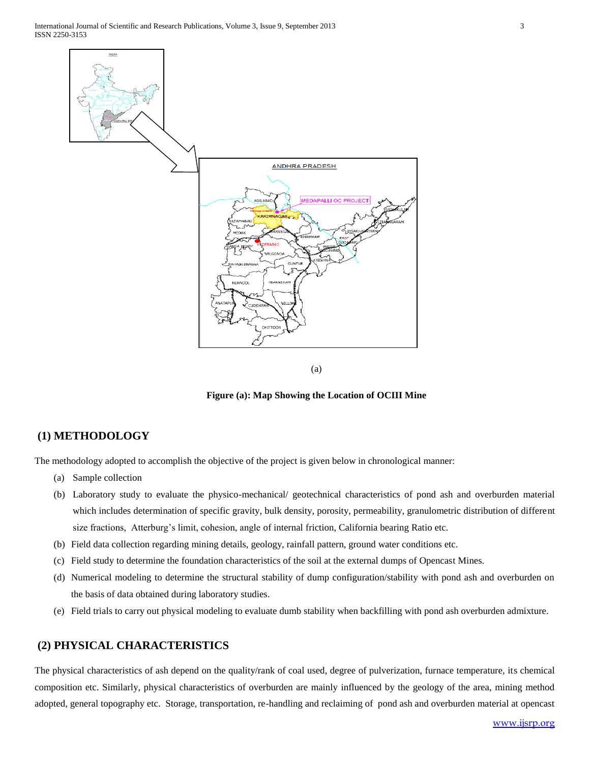

(a)

**Figure (a): Map Showing the Location of OCIII Mine**

## **(1) METHODOLOGY**

The methodology adopted to accomplish the objective of the project is given below in chronological manner:

- (a) Sample collection
- (b) Laboratory study to evaluate the physico-mechanical/ geotechnical characteristics of pond ash and overburden material which includes determination of specific gravity, bulk density, porosity, permeability, granulometric distribution of different size fractions, Atterburg's limit, cohesion, angle of internal friction, California bearing Ratio etc.
- (b) Field data collection regarding mining details, geology, rainfall pattern, ground water conditions etc.
- (c) Field study to determine the foundation characteristics of the soil at the external dumps of Opencast Mines.
- (d) Numerical modeling to determine the structural stability of dump configuration/stability with pond ash and overburden on the basis of data obtained during laboratory studies.
- (e) Field trials to carry out physical modeling to evaluate dumb stability when backfilling with pond ash overburden admixture.

## **(2) PHYSICAL CHARACTERISTICS**

The physical characteristics of ash depend on the quality/rank of coal used, degree of pulverization, furnace temperature, its chemical composition etc. Similarly, physical characteristics of overburden are mainly influenced by the geology of the area, mining method adopted, general topography etc. Storage, transportation, re-handling and reclaiming of pond ash and overburden material at opencast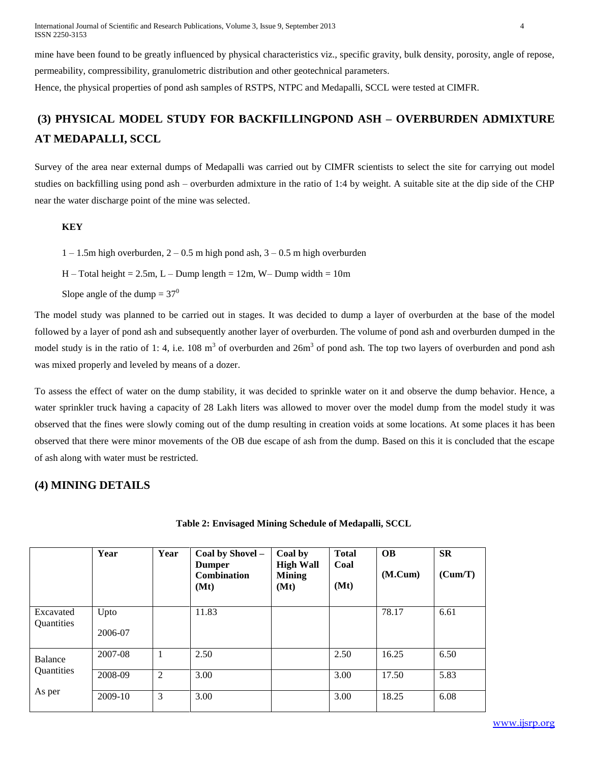International Journal of Scientific and Research Publications, Volume 3, Issue 9, September 2013 4 ISSN 2250-3153

mine have been found to be greatly influenced by physical characteristics viz., specific gravity, bulk density, porosity, angle of repose, permeability, compressibility, granulometric distribution and other geotechnical parameters.

Hence, the physical properties of pond ash samples of RSTPS, NTPC and Medapalli, SCCL were tested at CIMFR.

## **(3) PHYSICAL MODEL STUDY FOR BACKFILLINGPOND ASH – OVERBURDEN ADMIXTURE AT MEDAPALLI, SCCL**

Survey of the area near external dumps of Medapalli was carried out by CIMFR scientists to select the site for carrying out model studies on backfilling using pond ash – overburden admixture in the ratio of 1:4 by weight. A suitable site at the dip side of the CHP near the water discharge point of the mine was selected.

#### **KEY**

 $1 - 1.5$ m high overburden,  $2 - 0.5$  m high pond ash,  $3 - 0.5$  m high overburden

 $H - Total height = 2.5m, L - Dump length = 12m, W - Dump width = 10m$ 

Slope angle of the dump  $= 37<sup>0</sup>$ 

The model study was planned to be carried out in stages. It was decided to dump a layer of overburden at the base of the model followed by a layer of pond ash and subsequently another layer of overburden. The volume of pond ash and overburden dumped in the model study is in the ratio of 1:4, i.e. 108 m<sup>3</sup> of overburden and 26m<sup>3</sup> of pond ash. The top two layers of overburden and pond ash was mixed properly and leveled by means of a dozer.

To assess the effect of water on the dump stability, it was decided to sprinkle water on it and observe the dump behavior. Hence, a water sprinkler truck having a capacity of 28 Lakh liters was allowed to mover over the model dump from the model study it was observed that the fines were slowly coming out of the dump resulting in creation voids at some locations. At some places it has been observed that there were minor movements of the OB due escape of ash from the dump. Based on this it is concluded that the escape of ash along with water must be restricted.

## **(4) MINING DETAILS**

| Table 2: Envisaged Mining Schedule of Medapalli, SCCL |  |  |  |  |  |  |
|-------------------------------------------------------|--|--|--|--|--|--|
|-------------------------------------------------------|--|--|--|--|--|--|

|                         | Year            | Year | Coal by Shovel -<br><b>Dumper</b><br>Combination<br>(Mt) | Coal by<br><b>High Wall</b><br><b>Mining</b><br>(Mt) | <b>Total</b><br>Coal<br>(Mt) | <b>OB</b><br>(M.Cum) | <b>SR</b><br>(Cum/T) |
|-------------------------|-----------------|------|----------------------------------------------------------|------------------------------------------------------|------------------------------|----------------------|----------------------|
| Excavated<br>Quantities | Upto<br>2006-07 |      | 11.83                                                    |                                                      |                              | 78.17                | 6.61                 |
| Balance                 | 2007-08         |      | 2.50                                                     |                                                      | 2.50                         | 16.25                | 6.50                 |
| Quantities              | 2008-09         | 2    | 3.00                                                     |                                                      | 3.00                         | 17.50                | 5.83                 |
| As per                  | 2009-10         | 3    | 3.00                                                     |                                                      | 3.00                         | 18.25                | 6.08                 |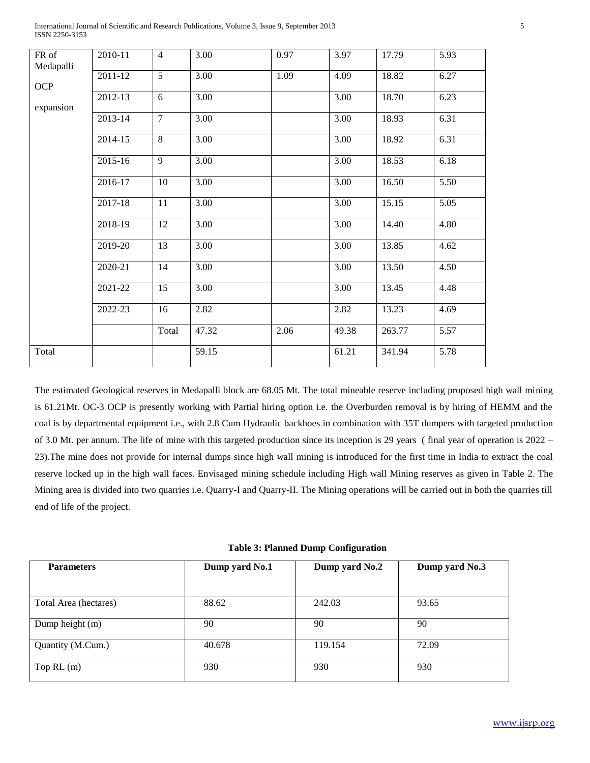| FR of     | 2010-11 | $\overline{4}$ | 3.00  | 0.97 | 3.97              | 17.79  | 5.93              |
|-----------|---------|----------------|-------|------|-------------------|--------|-------------------|
| Medapalli |         |                |       |      |                   |        |                   |
|           | 2011-12 | 5              | 3.00  | 1.09 | 4.09              | 18.82  | 6.27              |
| OCP       | 2012-13 | 6              | 3.00  |      | 3.00              | 18.70  | 6.23              |
| expansion |         |                |       |      |                   |        |                   |
|           | 2013-14 | $\overline{7}$ | 3.00  |      | 3.00              | 18.93  | 6.31              |
|           | 2014-15 | $\overline{8}$ | 3.00  |      | $\overline{3.00}$ | 18.92  | 6.31              |
|           | 2015-16 | 9              | 3.00  |      | $\overline{3.00}$ | 18.53  | 6.18              |
|           | 2016-17 | 10             | 3.00  |      | 3.00              | 16.50  | 5.50              |
|           | 2017-18 | 11             | 3.00  |      | $\overline{3.00}$ | 15.15  | $\overline{5.05}$ |
|           | 2018-19 | 12             | 3.00  |      | 3.00              | 14.40  | 4.80              |
|           | 2019-20 | 13             | 3.00  |      | 3.00              | 13.85  | 4.62              |
|           | 2020-21 | 14             | 3.00  |      | 3.00              | 13.50  | 4.50              |
|           | 2021-22 | 15             | 3.00  |      | 3.00              | 13.45  | 4.48              |
|           | 2022-23 | 16             | 2.82  |      | 2.82              | 13.23  | 4.69              |
|           |         | Total          | 47.32 | 2.06 | 49.38             | 263.77 | 5.57              |
| Total     |         |                | 59.15 |      | 61.21             | 341.94 | 5.78              |

International Journal of Scientific and Research Publications, Volume 3, Issue 9, September 2013 5 ISSN 2250-3153

The estimated Geological reserves in Medapalli block are 68.05 Mt. The total mineable reserve including proposed high wall mining is 61.21Mt. OC-3 OCP is presently working with Partial hiring option i.e. the Overburden removal is by hiring of HEMM and the coal is by departmental equipment i.e., with 2.8 Cum Hydraulic backhoes in combination with 35T dumpers with targeted production of 3.0 Mt. per annum. The life of mine with this targeted production since its inception is 29 years ( final year of operation is 2022 – 23).The mine does not provide for internal dumps since high wall mining is introduced for the first time in India to extract the coal reserve locked up in the high wall faces. Envisaged mining schedule including High wall Mining reserves as given in Table 2. The Mining area is divided into two quarries i.e. Quarry-I and Quarry-II. The Mining operations will be carried out in both the quarries till end of life of the project.

|  |  |  | <b>Table 3: Planned Dump Configuration</b> |  |
|--|--|--|--------------------------------------------|--|
|--|--|--|--------------------------------------------|--|

| <b>Parameters</b>     | Dump yard No.1 | Dump yard No.2 | Dump yard No.3 |
|-----------------------|----------------|----------------|----------------|
| Total Area (hectares) | 88.62          | 242.03         | 93.65          |
| Dump height (m)       | 90             | 90             | 90             |
| Quantity (M.Cum.)     | 40.678         | 119.154        | 72.09          |
| Top $RL(m)$           | 930            | 930            | 930            |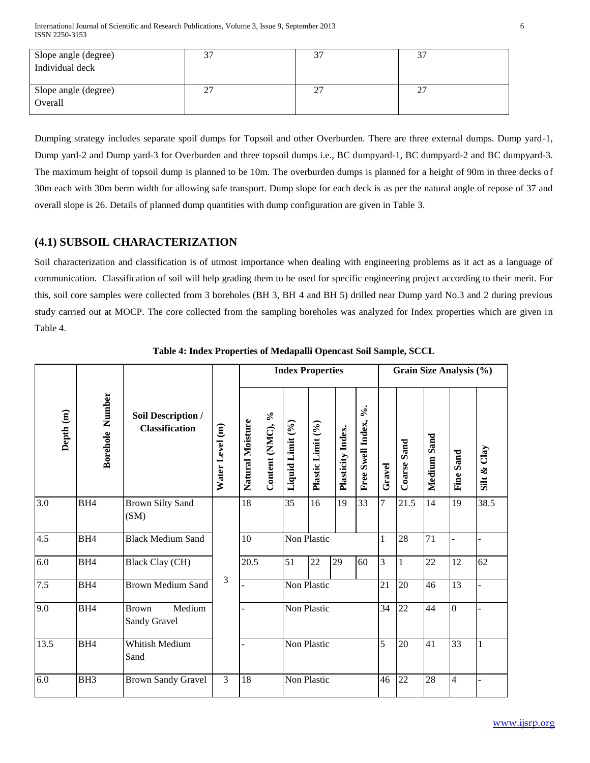International Journal of Scientific and Research Publications, Volume 3, Issue 9, September 2013 6 ISSN 2250-3153

| Slope angle (degree)<br>Individual deck |         | $\sim$ |
|-----------------------------------------|---------|--------|
| Slope angle (degree)<br>Overall         | າາ<br>∼ | n-     |

Dumping strategy includes separate spoil dumps for Topsoil and other Overburden. There are three external dumps. Dump yard-1, Dump yard-2 and Dump yard-3 for Overburden and three topsoil dumps i.e., BC dumpyard-1, BC dumpyard-2 and BC dumpyard-3. The maximum height of topsoil dump is planned to be 10m. The overburden dumps is planned for a height of 90m in three decks of 30m each with 30m berm width for allowing safe transport. Dump slope for each deck is as per the natural angle of repose of 37 and overall slope is 26. Details of planned dump quantities with dump configuration are given in Table 3.

## **(4.1) SUBSOIL CHARACTERIZATION**

Soil characterization and classification is of utmost importance when dealing with engineering problems as it act as a language of communication. Classification of soil will help grading them to be used for specific engineering project according to their merit. For this, soil core samples were collected from 3 boreholes (BH 3, BH 4 and BH 5) drilled near Dump yard No.3 and 2 during previous study carried out at MOCP. The core collected from the sampling boreholes was analyzed for Index properties which are given in Table 4.

|                      |                        |                                             |                 |                  |                                           | <b>Index Properties</b> |                   |                   |                      |              |                    |                | Grain Size Analysis (%) |                |  |
|----------------------|------------------------|---------------------------------------------|-----------------|------------------|-------------------------------------------|-------------------------|-------------------|-------------------|----------------------|--------------|--------------------|----------------|-------------------------|----------------|--|
| Depth <sub>(m)</sub> | <b>Borehole Number</b> | Soil Description /<br><b>Classification</b> | Water Level (m) | Natural Moisture | $\mathcal{S}_{\bullet}$<br>Content (NMC), | Liquid Limit (%)        | Plastic Limit (%) | Plasticity Index. | Free Swell Index, %. | Gravel       | <b>Coarse Sand</b> | Sand<br>Medium | Fine Sand               | Silt & $Clay$  |  |
| $\overline{3.0}$     | BH4                    | <b>Brown Silty Sand</b><br>(SM)             |                 | $\overline{18}$  |                                           | $\overline{35}$         | 16                | 19                | 33                   | 7            | 21.5               | 14             | 19                      | 38.5           |  |
| 4.5                  | BH <sub>4</sub>        | <b>Black Medium Sand</b>                    |                 | 10               |                                           | Non Plastic             |                   |                   |                      | $\mathbf{1}$ | 28                 | 71             | Ĭ.                      |                |  |
| 6.0                  | BH4                    | <b>Black Clay (CH)</b>                      |                 | 20.5             |                                           | 51                      | 22                | 29                | 60                   | 3            | 1                  | 22             | 12                      | 62             |  |
| 7.5                  | BH4                    | <b>Brown Medium Sand</b>                    | 3               |                  |                                           | Non Plastic             |                   |                   |                      | 21           | 20                 | 46             | 13                      |                |  |
| 9.0                  | BH <sub>4</sub>        | Medium<br><b>Brown</b><br>Sandy Gravel      |                 |                  |                                           |                         |                   | Non Plastic       |                      |              | 34                 | 22             | 44                      | $\overline{0}$ |  |
| 13.5                 | BH <sub>4</sub>        | Whitish Medium<br>Sand                      |                 |                  |                                           | Non Plastic             |                   |                   |                      | 5            | 20                 | 41             | 33                      | $\mathbf{1}$   |  |
| 6.0                  | BH <sub>3</sub>        | <b>Brown Sandy Gravel</b>                   | 3               | 18               |                                           | Non Plastic             |                   |                   |                      | 46           | 22                 | 28             | 4                       |                |  |

**Table 4: Index Properties of Medapalli Opencast Soil Sample, SCCL**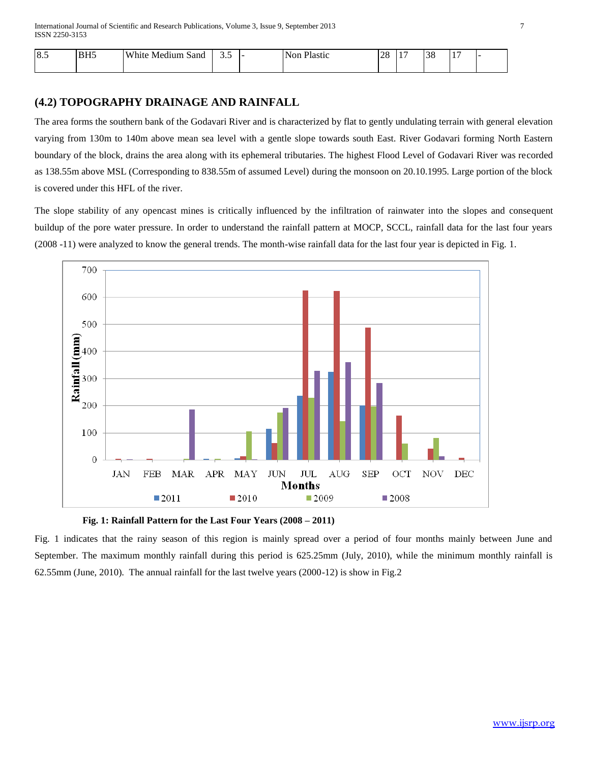| 8.5 | IDUF<br>DH. | White.<br>Sand<br>Medium | <u>.</u><br>- - - | <sup>o</sup> lastic<br>+Nor | $\cap$<br>$\sim$<br>$\sim$<br>__ | . . | $\cap$ $\cap$<br>LO C | $\overline{a}$<br>$\overline{\phantom{a}}$ | . . |
|-----|-------------|--------------------------|-------------------|-----------------------------|----------------------------------|-----|-----------------------|--------------------------------------------|-----|
|     |             |                          |                   |                             |                                  |     |                       |                                            |     |

## **(4.2) TOPOGRAPHY DRAINAGE AND RAINFALL**

The area forms the southern bank of the Godavari River and is characterized by flat to gently undulating terrain with general elevation varying from 130m to 140m above mean sea level with a gentle slope towards south East. River Godavari forming North Eastern boundary of the block, drains the area along with its ephemeral tributaries. The highest Flood Level of Godavari River was recorded as 138.55m above MSL (Corresponding to 838.55m of assumed Level) during the monsoon on 20.10.1995. Large portion of the block is covered under this HFL of the river.

The slope stability of any opencast mines is critically influenced by the infiltration of rainwater into the slopes and consequent buildup of the pore water pressure. In order to understand the rainfall pattern at MOCP, SCCL, rainfall data for the last four years (2008 -11) were analyzed to know the general trends. The month-wise rainfall data for the last four year is depicted in Fig. 1.





Fig. 1 indicates that the rainy season of this region is mainly spread over a period of four months mainly between June and September. The maximum monthly rainfall during this period is 625.25mm (July, 2010), while the minimum monthly rainfall is 62.55mm (June, 2010). The annual rainfall for the last twelve years (2000-12) is show in Fig.2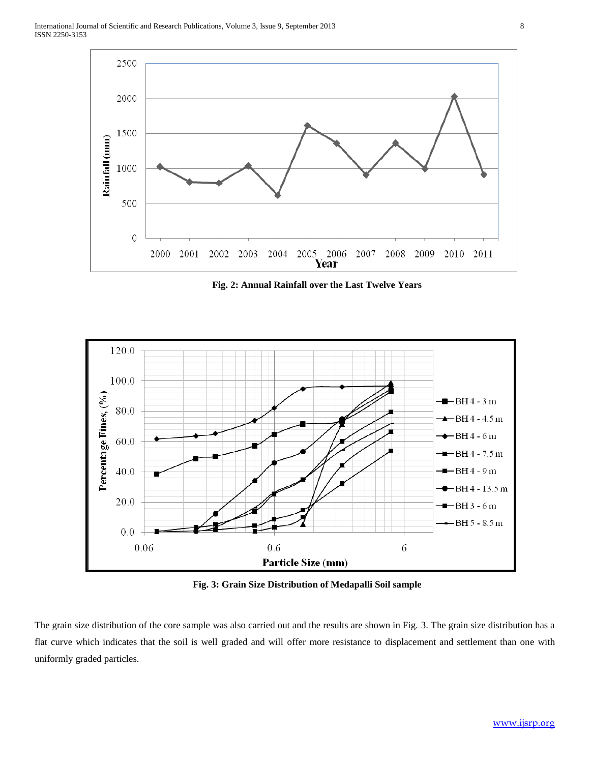

**Fig. 2: Annual Rainfall over the Last Twelve Years**



**Fig. 3: Grain Size Distribution of Medapalli Soil sample**

The grain size distribution of the core sample was also carried out and the results are shown in Fig. 3. The grain size distribution has a flat curve which indicates that the soil is well graded and will offer more resistance to displacement and settlement than one with uniformly graded particles.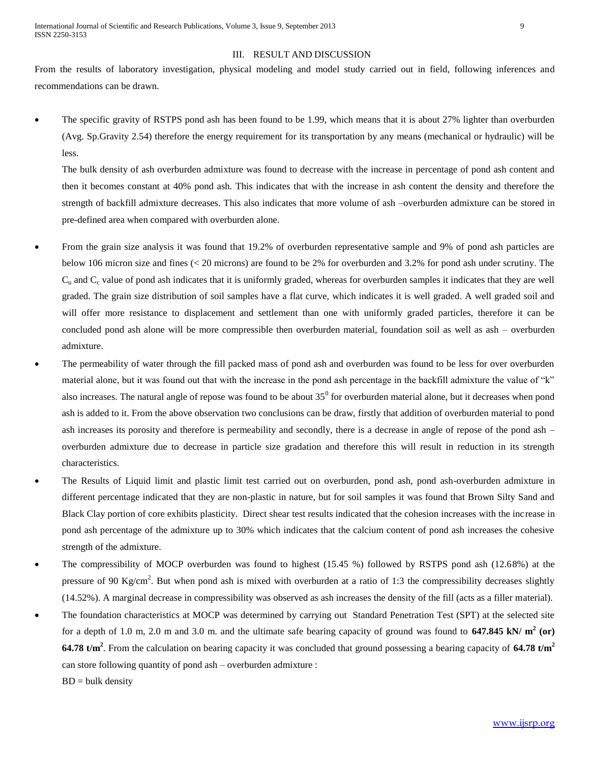#### III. RESULT AND DISCUSSION

From the results of laboratory investigation, physical modeling and model study carried out in field, following inferences and recommendations can be drawn.

 The specific gravity of RSTPS pond ash has been found to be 1.99, which means that it is about 27% lighter than overburden (Avg. Sp.Gravity 2.54) therefore the energy requirement for its transportation by any means (mechanical or hydraulic) will be less.

The bulk density of ash overburden admixture was found to decrease with the increase in percentage of pond ash content and then it becomes constant at 40% pond ash. This indicates that with the increase in ash content the density and therefore the strength of backfill admixture decreases. This also indicates that more volume of ash –overburden admixture can be stored in pre-defined area when compared with overburden alone.

- From the grain size analysis it was found that 19.2% of overburden representative sample and 9% of pond ash particles are below 106 micron size and fines (< 20 microns) are found to be 2% for overburden and 3.2% for pond ash under scrutiny. The  $C<sub>u</sub>$  and  $C<sub>c</sub>$  value of pond ash indicates that it is uniformly graded, whereas for overburden samples it indicates that they are well graded. The grain size distribution of soil samples have a flat curve, which indicates it is well graded. A well graded soil and will offer more resistance to displacement and settlement than one with uniformly graded particles, therefore it can be concluded pond ash alone will be more compressible then overburden material, foundation soil as well as ash – overburden admixture.
- The permeability of water through the fill packed mass of pond ash and overburden was found to be less for over overburden material alone, but it was found out that with the increase in the pond ash percentage in the backfill admixture the value of "k" also increases. The natural angle of repose was found to be about  $35^0$  for overburden material alone, but it decreases when pond ash is added to it. From the above observation two conclusions can be draw, firstly that addition of overburden material to pond ash increases its porosity and therefore is permeability and secondly, there is a decrease in angle of repose of the pond ash – overburden admixture due to decrease in particle size gradation and therefore this will result in reduction in its strength characteristics.
- The Results of Liquid limit and plastic limit test carried out on overburden, pond ash, pond ash-overburden admixture in different percentage indicated that they are non-plastic in nature, but for soil samples it was found that Brown Silty Sand and Black Clay portion of core exhibits plasticity. Direct shear test results indicated that the cohesion increases with the increase in pond ash percentage of the admixture up to 30% which indicates that the calcium content of pond ash increases the cohesive strength of the admixture.
- The compressibility of MOCP overburden was found to highest (15.45 %) followed by RSTPS pond ash (12.68%) at the pressure of 90 Kg/cm<sup>2</sup>. But when pond ash is mixed with overburden at a ratio of 1:3 the compressibility decreases slightly (14.52%). A marginal decrease in compressibility was observed as ash increases the density of the fill (acts as a filler material).
- The foundation characteristics at MOCP was determined by carrying out Standard Penetration Test (SPT) at the selected site for a depth of 1.0 m, 2.0 m and 3.0 m. and the ultimate safe bearing capacity of ground was found to  $647.845$  kN/  $m^2$  (or) **64.78 t/m<sup>2</sup>** . From the calculation on bearing capacity it was concluded that ground possessing a bearing capacity of **64.78 t/m<sup>2</sup>** can store following quantity of pond ash – overburden admixture :

 $BD = bulk density$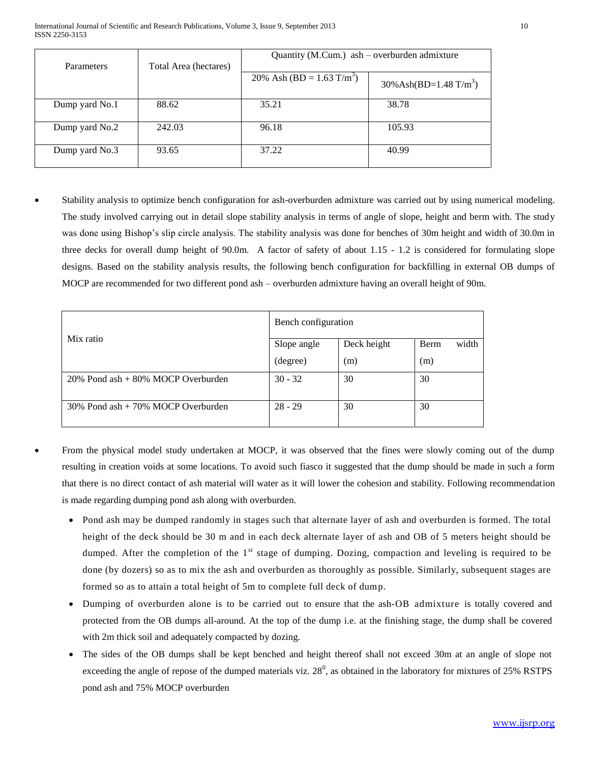| Parameters     | Total Area (hectares) | Quantity (M.Cum.) ash - overburden admixture |                                       |
|----------------|-----------------------|----------------------------------------------|---------------------------------------|
|                |                       | 20% Ash (BD = $1.63$ T/m <sup>3</sup> )      | $30\%$ Ash(BD=1.48 T/m <sup>3</sup> ) |
| Dump yard No.1 | 88.62                 | 35.21                                        | 38.78                                 |
| Dump yard No.2 | 242.03                | 96.18                                        | 105.93                                |
| Dump yard No.3 | 93.65                 | 37.22                                        | 40.99                                 |

 Stability analysis to optimize bench configuration for ash-overburden admixture was carried out by using numerical modeling. The study involved carrying out in detail slope stability analysis in terms of angle of slope, height and berm with. The study was done using Bishop's slip circle analysis. The stability analysis was done for benches of 30m height and width of 30.0m in three decks for overall dump height of 90.0m. A factor of safety of about 1.15 - 1.2 is considered for formulating slope designs. Based on the stability analysis results, the following bench configuration for backfilling in external OB dumps of MOCP are recommended for two different pond ash – overburden admixture having an overall height of 90m.

|                                         | Bench configuration |             |                      |
|-----------------------------------------|---------------------|-------------|----------------------|
| Mix ratio                               | Slope angle         | Deck height | <b>Berm</b><br>width |
|                                         | (degree)            | (m)         | (m)                  |
| $20\%$ Pond ash $+80\%$ MOCP Overburden | $30 - 32$           | 30          | 30                   |
| $30\%$ Pond ash $+70\%$ MOCP Overburden | $28 - 29$           | 30          | 30                   |

- From the physical model study undertaken at MOCP, it was observed that the fines were slowly coming out of the dump resulting in creation voids at some locations. To avoid such fiasco it suggested that the dump should be made in such a form that there is no direct contact of ash material will water as it will lower the cohesion and stability. Following recommendation is made regarding dumping pond ash along with overburden.
	- Pond ash may be dumped randomly in stages such that alternate layer of ash and overburden is formed. The total height of the deck should be 30 m and in each deck alternate layer of ash and OB of 5 meters height should be dumped. After the completion of the  $1<sup>st</sup>$  stage of dumping. Dozing, compaction and leveling is required to be done (by dozers) so as to mix the ash and overburden as thoroughly as possible. Similarly, subsequent stages are formed so as to attain a total height of 5m to complete full deck of dump.
	- Dumping of overburden alone is to be carried out to ensure that the ash-OB admixture is totally covered and protected from the OB dumps all-around. At the top of the dump i.e. at the finishing stage, the dump shall be covered with 2m thick soil and adequately compacted by dozing.
	- The sides of the OB dumps shall be kept benched and height thereof shall not exceed 30m at an angle of slope not exceeding the angle of repose of the dumped materials viz.  $28^0$ , as obtained in the laboratory for mixtures of  $25\%$  RSTPS pond ash and 75% MOCP overburden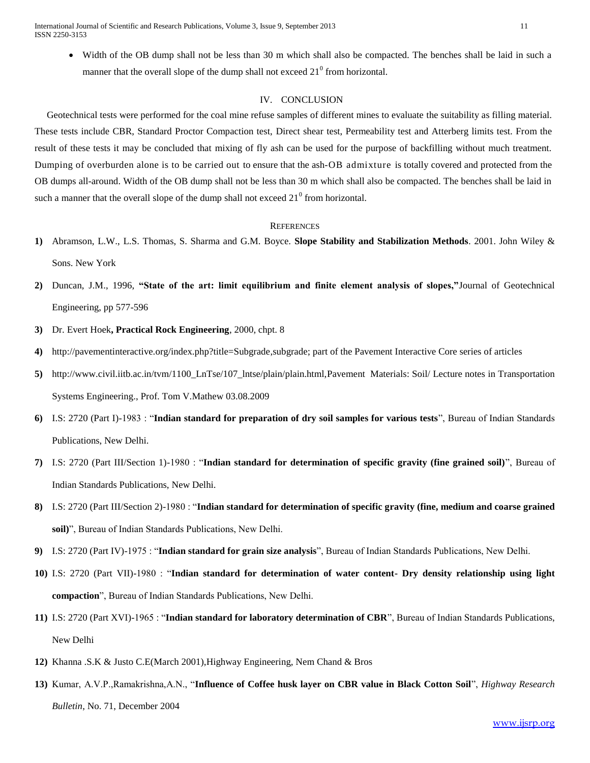International Journal of Scientific and Research Publications, Volume 3, Issue 9, September 2013 11 ISSN 2250-3153

 Width of the OB dump shall not be less than 30 m which shall also be compacted. The benches shall be laid in such a manner that the overall slope of the dump shall not exceed  $21^{\circ}$  from horizontal.

## IV. CONCLUSION

 Geotechnical tests were performed for the coal mine refuse samples of different mines to evaluate the suitability as filling material. These tests include CBR, Standard Proctor Compaction test, Direct shear test, Permeability test and Atterberg limits test. From the result of these tests it may be concluded that mixing of fly ash can be used for the purpose of backfilling without much treatment. Dumping of overburden alone is to be carried out to ensure that the ash-OB admixture is totally covered and protected from the OB dumps all-around. Width of the OB dump shall not be less than 30 m which shall also be compacted. The benches shall be laid in such a manner that the overall slope of the dump shall not exceed  $21^{\circ}$  from horizontal.

#### **REFERENCES**

- **1)** Abramson, L.W., L.S. Thomas, S. Sharma and G.M. Boyce. **Slope Stability and Stabilization Methods**. 2001. John Wiley & Sons. New York
- **2)** Duncan, J.M., 1996, **"State of the art: limit equilibrium and finite element analysis of slopes,"**Journal of Geotechnical Engineering, pp 577-596
- **3)** Dr. Evert Hoek**, Practical Rock Engineering**, 2000, chpt. 8
- **4)** http://pavementinteractive.org/index.php?title=Subgrade,subgrade; part of the Pavement Interactive Core series of articles
- **5)** http://www.civil.iitb.ac.in/tvm/1100\_LnTse/107\_lntse/plain/plain.html,Pavement Materials: Soil/ Lecture notes in Transportation Systems Engineering., Prof. Tom V.Mathew 03.08.2009
- **6)** I.S: 2720 (Part I)-1983 : "**Indian standard for preparation of dry soil samples for various tests**", Bureau of Indian Standards Publications, New Delhi.
- **7)** I.S: 2720 (Part III/Section 1)-1980 : "**Indian standard for determination of specific gravity (fine grained soil)**", Bureau of Indian Standards Publications, New Delhi.
- **8)** I.S: 2720 (Part III/Section 2)-1980 : "**Indian standard for determination of specific gravity (fine, medium and coarse grained soil)**", Bureau of Indian Standards Publications, New Delhi.
- **9)** I.S: 2720 (Part IV)-1975 : "**Indian standard for grain size analysis**", Bureau of Indian Standards Publications, New Delhi.
- **10)** I.S: 2720 (Part VII)-1980 : "**Indian standard for determination of water content- Dry density relationship using light compaction**", Bureau of Indian Standards Publications, New Delhi.
- **11)** I.S: 2720 (Part XVI)-1965 : "**Indian standard for laboratory determination of CBR**", Bureau of Indian Standards Publications, New Delhi
- **12)** Khanna .S.K & Justo C.E(March 2001),Highway Engineering, Nem Chand & Bros
- **13)** Kumar, A.V.P.,Ramakrishna,A.N., "**Influence of Coffee husk layer on CBR value in Black Cotton Soil**", *Highway Research Bulletin*, No. 71, December 2004